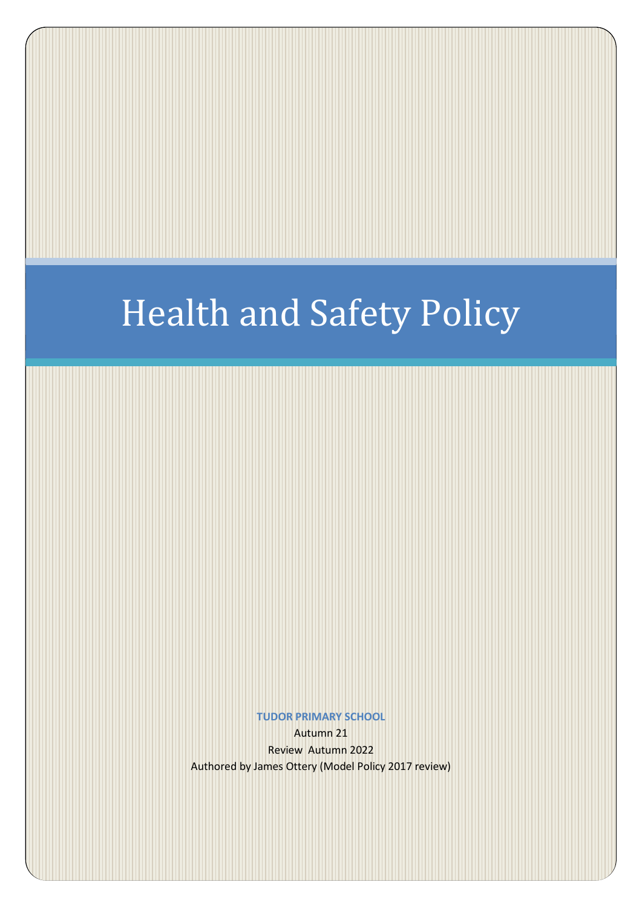# Health and Safety Policy

**TUDOR PRIMARY SCHOOL**

Autumn 21 Review Autumn 2022 Authored by James Ottery (Model Policy 2017 review)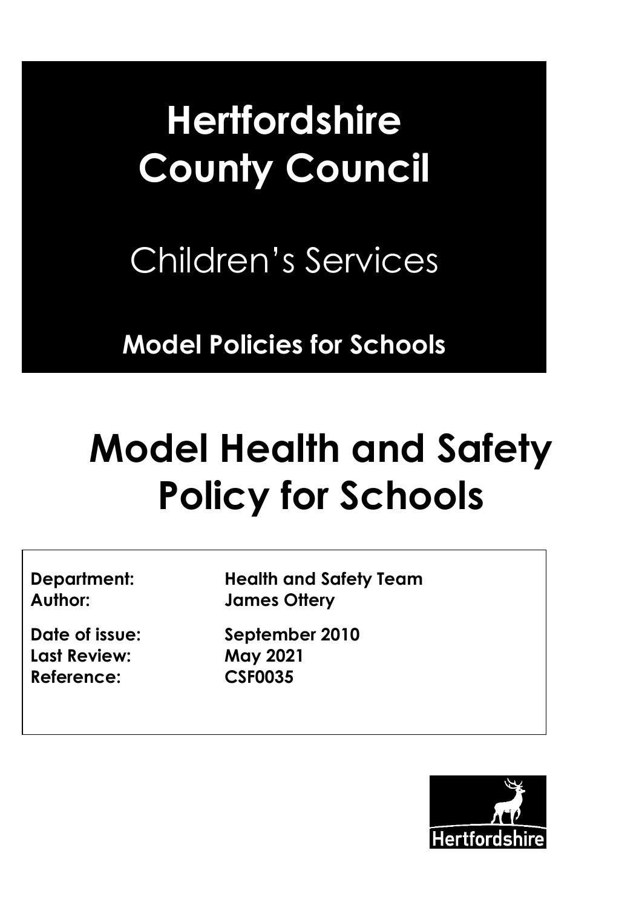# Hertfordshire **Hertfordshire County Council**

Children's Services

**Model Policies for Schools**

# **Model Health and Safety Policy for Schools**

**Last Review: May 2021 Reference: CSF0035**

**Department: Health and Safety Team Author: James Ottery**

**Date of issue: September 2010**

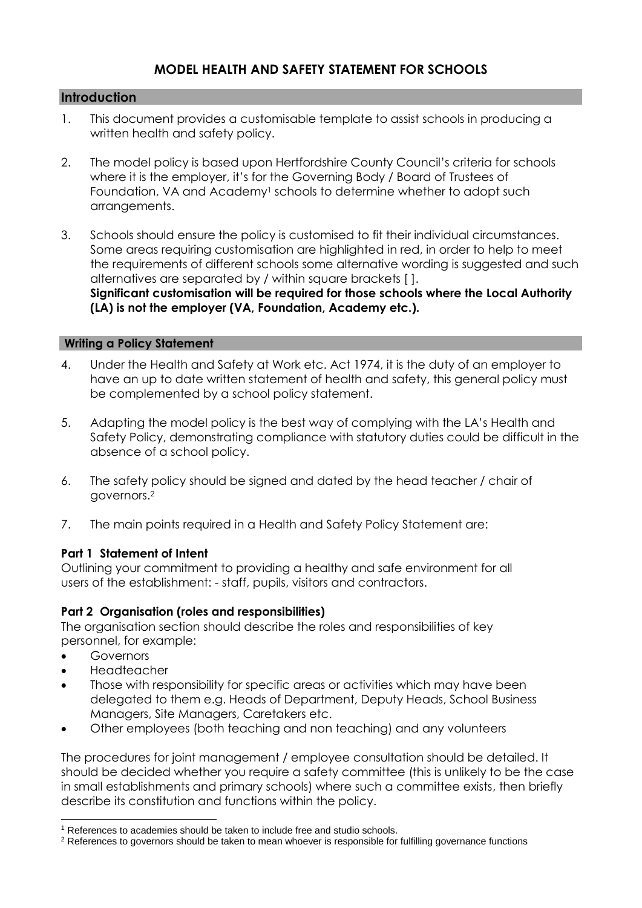# **MODEL HEALTH AND SAFETY STATEMENT FOR SCHOOLS**

#### **Introduction**

- 1. This document provides a customisable template to assist schools in producing a written health and safety policy.
- 2. The model policy is based upon Hertfordshire County Council's criteria for schools where it is the employer, it's for the Governing Body / Board of Trustees of Foundation, VA and Academy<sup>1</sup> schools to determine whether to adopt such arrangements.
- 3. Schools should ensure the policy is customised to fit their individual circumstances. Some areas requiring customisation are highlighted in red, in order to help to meet the requirements of different schools some alternative wording is suggested and such alternatives are separated by / within square brackets [ ]. **Significant customisation will be required for those schools where the Local Authority (LA) is not the employer (VA, Foundation, Academy etc.).**

#### **Writing a Policy Statement**

- 4. Under the Health and Safety at Work etc. Act 1974, it is the duty of an employer to have an up to date written statement of health and safety, this general policy must be complemented by a school policy statement.
- 5. Adapting the model policy is the best way of complying with the LA's Health and Safety Policy, demonstrating compliance with statutory duties could be difficult in the absence of a school policy.
- 6. The safety policy should be signed and dated by the head teacher / chair of governors.<sup>2</sup>
- 7. The main points required in a Health and Safety Policy Statement are:

#### **Part 1 Statement of Intent**

Outlining your commitment to providing a healthy and safe environment for all users of the establishment: - staff, pupils, visitors and contractors.

#### **Part 2 Organisation (roles and responsibilities)**

The organisation section should describe the roles and responsibilities of key personnel, for example:

**Governors** 

 $\overline{a}$ 

- Headteacher
- Those with responsibility for specific areas or activities which may have been delegated to them e.g. Heads of Department, Deputy Heads, School Business Managers, Site Managers, Caretakers etc.
- Other employees (both teaching and non teaching) and any volunteers

The procedures for joint management / employee consultation should be detailed. It should be decided whether you require a safety committee (this is unlikely to be the case in small establishments and primary schools) where such a committee exists, then briefly describe its constitution and functions within the policy.

<sup>&</sup>lt;sup>1</sup> References to academies should be taken to include free and studio schools.

<sup>&</sup>lt;sup>2</sup> References to governors should be taken to mean whoever is responsible for fulfilling governance functions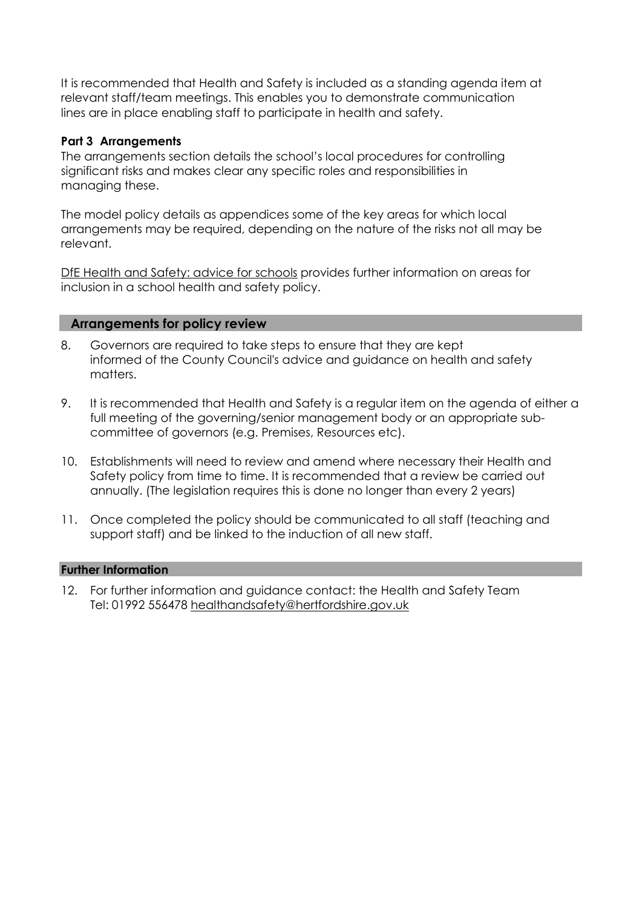It is recommended that Health and Safety is included as a standing agenda item at relevant staff/team meetings. This enables you to demonstrate communication lines are in place enabling staff to participate in health and safety.

#### **Part 3 Arrangements**

The arrangements section details the school's local procedures for controlling significant risks and makes clear any specific roles and responsibilities in managing these.

The model policy details as appendices some of the key areas for which local arrangements may be required, depending on the nature of the risks not all may be relevant.

[DfE Health and Safety: advice for schools](https://www.gov.uk/government/publications/health-and-safety-advice-for-schools) provides further information on areas for inclusion in a school health and safety policy.

#### **Arrangements for policy review**

- 8. Governors are required to take steps to ensure that they are kept informed of the County Council's advice and guidance on health and safety matters.
- 9. It is recommended that Health and Safety is a regular item on the agenda of either a full meeting of the governing/senior management body or an appropriate subcommittee of governors (e.g. Premises, Resources etc).
- 10. Establishments will need to review and amend where necessary their Health and Safety policy from time to time. It is recommended that a review be carried out annually. (The legislation requires this is done no longer than every 2 years)
- 11. Once completed the policy should be communicated to all staff (teaching and support staff) and be linked to the induction of all new staff.

#### **Further Information**

12. For further information and guidance contact: the Health and Safety Team Tel: 01992 556478 [healthandsafety@hertfordshire.gov.uk](mailto:healthandsafety@hertfordshire.gov.uk)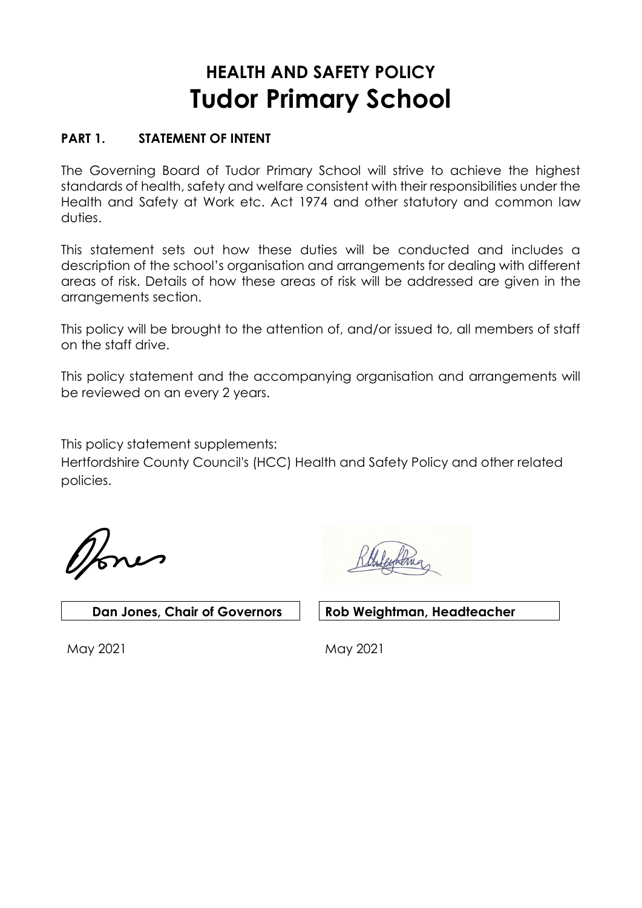# **HEALTH AND SAFETY POLICY Tudor Primary School**

# **PART 1. STATEMENT OF INTENT**

The Governing Board of Tudor Primary School will strive to achieve the highest standards of health, safety and welfare consistent with their responsibilities under the Health and Safety at Work etc. Act 1974 and other statutory and common law duties.

This statement sets out how these duties will be conducted and includes a description of the school's organisation and arrangements for dealing with different areas of risk. Details of how these areas of risk will be addressed are given in the arrangements section.

This policy will be brought to the attention of, and/or issued to, all members of staff on the staff drive.

This policy statement and the accompanying organisation and arrangements will be reviewed on an every 2 years.

This policy statement supplements:

Hertfordshire County Council's (HCC) Health and Safety Policy and other related policies.

 **Dan Jones, Chair of Governors Rob Weightman, Headteacher**

May 2021 May 2021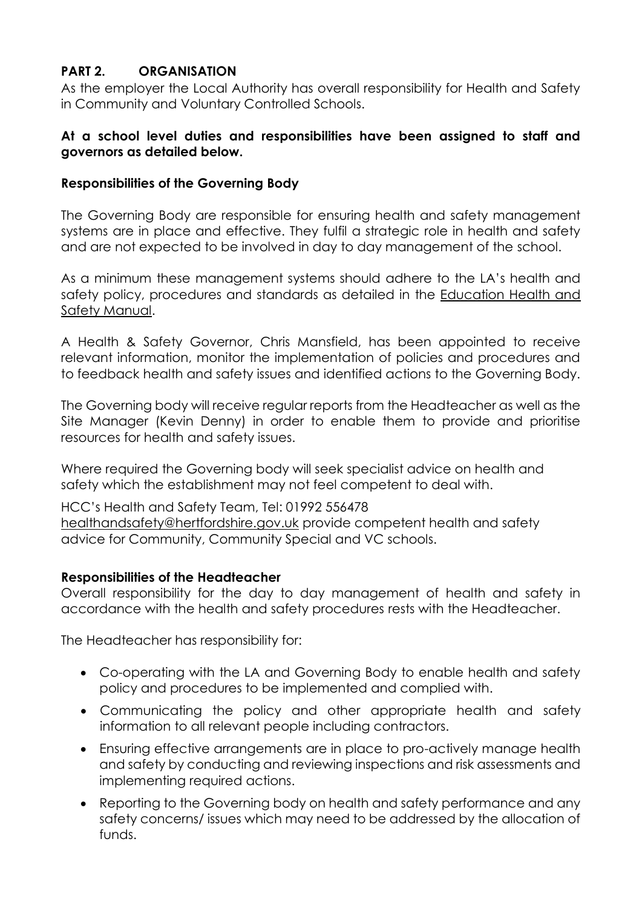# **PART 2. ORGANISATION**

As the employer the Local Authority has overall responsibility for Health and Safety in Community and Voluntary Controlled Schools.

#### **At a school level duties and responsibilities have been assigned to staff and governors as detailed below.**

#### **Responsibilities of the Governing Body**

The Governing Body are responsible for ensuring health and safety management systems are in place and effective. They fulfil a strategic role in health and safety and are not expected to be involved in day to day management of the school.

As a minimum these management systems should adhere to the LA's health and safety policy, procedures and standards as detailed in the [Education Health and](http://www.thegrid.org.uk/info/healthandsafety/manual.shtml)  [Safety Manual.](http://www.thegrid.org.uk/info/healthandsafety/manual.shtml)

A Health & Safety Governor, Chris Mansfield, has been appointed to receive relevant information, monitor the implementation of policies and procedures and to feedback health and safety issues and identified actions to the Governing Body.

The Governing body will receive regular reports from the Headteacher as well as the Site Manager (Kevin Denny) in order to enable them to provide and prioritise resources for health and safety issues.

Where required the Governing body will seek specialist advice on health and safety which the establishment may not feel competent to deal with.

HCC's Health and Safety Team, Tel: 01992 556478 [healthandsafety@hertfordshire.gov.uk](mailto:healthandsafety@hertfordshire.gov.uk) provide competent health and safety advice for Community, Community Special and VC schools.

#### **Responsibilities of the Headteacher**

Overall responsibility for the day to day management of health and safety in accordance with the health and safety procedures rests with the Headteacher.

The Headteacher has responsibility for:

- Co-operating with the LA and Governing Body to enable health and safety policy and procedures to be implemented and complied with.
- Communicating the policy and other appropriate health and safety information to all relevant people including contractors.
- Ensuring effective arrangements are in place to pro-actively manage health and safety by conducting and reviewing inspections and risk assessments and implementing required actions.
- Reporting to the Governing body on health and safety performance and any safety concerns/ issues which may need to be addressed by the allocation of funds.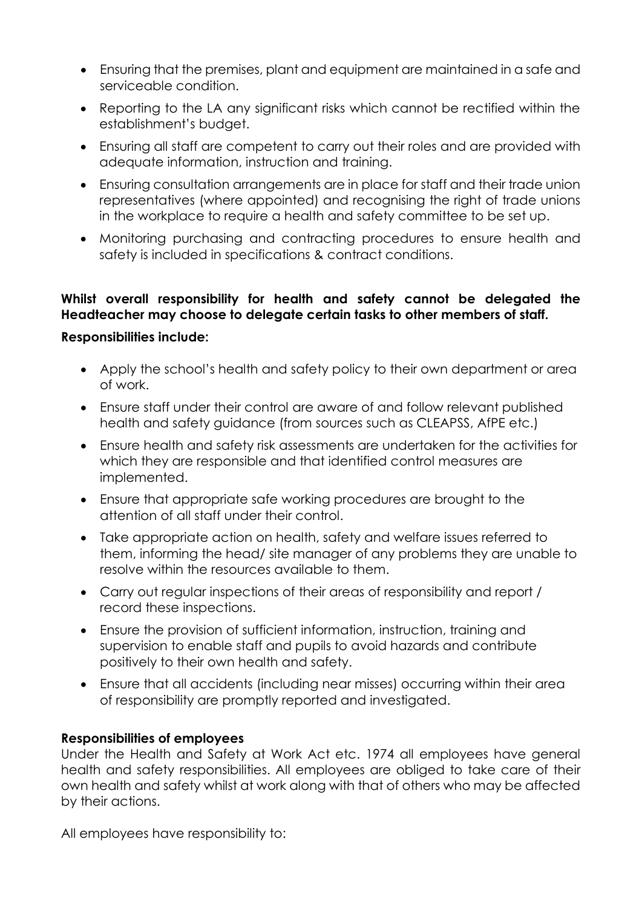- Ensuring that the premises, plant and equipment are maintained in a safe and serviceable condition.
- Reporting to the LA any significant risks which cannot be rectified within the establishment's budget.
- Ensuring all staff are competent to carry out their roles and are provided with adequate information, instruction and training.
- Ensuring consultation arrangements are in place for staff and their trade union representatives (where appointed) and recognising the right of trade unions in the workplace to require a health and safety committee to be set up.
- Monitoring purchasing and contracting procedures to ensure health and safety is included in specifications & contract conditions.

# **Whilst overall responsibility for health and safety cannot be delegated the Headteacher may choose to delegate certain tasks to other members of staff.**

# **Responsibilities include:**

- Apply the school's health and safety policy to their own department or area of work.
- Ensure staff under their control are aware of and follow relevant published health and safety guidance (from sources such as CLEAPSS, AfPE etc.)
- Ensure health and safety risk assessments are undertaken for the activities for which they are responsible and that identified control measures are implemented.
- Ensure that appropriate safe working procedures are brought to the attention of all staff under their control.
- Take appropriate action on health, safety and welfare issues referred to them, informing the head/ site manager of any problems they are unable to resolve within the resources available to them.
- Carry out regular inspections of their areas of responsibility and report / record these inspections.
- Ensure the provision of sufficient information, instruction, training and supervision to enable staff and pupils to avoid hazards and contribute positively to their own health and safety.
- Ensure that all accidents (including near misses) occurring within their area of responsibility are promptly reported and investigated.

# **Responsibilities of employees**

Under the Health and Safety at Work Act etc. 1974 all employees have general health and safety responsibilities. All employees are obliged to take care of their own health and safety whilst at work along with that of others who may be affected by their actions.

All employees have responsibility to: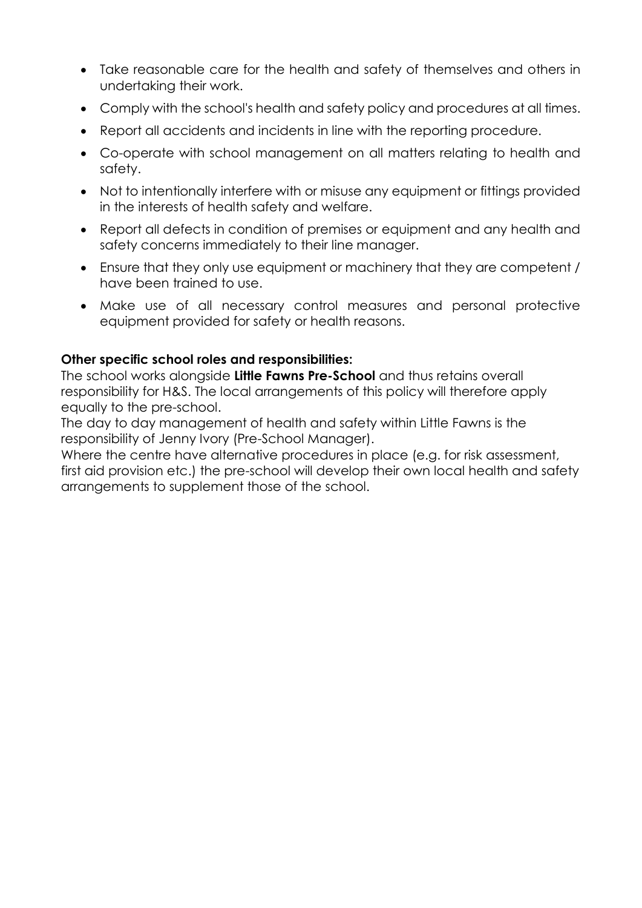- Take reasonable care for the health and safety of themselves and others in undertaking their work.
- Comply with the school's health and safety policy and procedures at all times.
- Report all accidents and incidents in line with the reporting procedure.
- Co-operate with school management on all matters relating to health and safety.
- Not to intentionally interfere with or misuse any equipment or fittings provided in the interests of health safety and welfare.
- Report all defects in condition of premises or equipment and any health and safety concerns immediately to their line manager.
- Ensure that they only use equipment or machinery that they are competent / have been trained to use.
- Make use of all necessary control measures and personal protective equipment provided for safety or health reasons.

# **Other specific school roles and responsibilities:**

The school works alongside **Little Fawns Pre-School** and thus retains overall responsibility for H&S. The local arrangements of this policy will therefore apply equally to the pre-school.

The day to day management of health and safety within Little Fawns is the responsibility of Jenny Ivory (Pre-School Manager).

Where the centre have alternative procedures in place (e.g. for risk assessment, first aid provision etc.) the pre-school will develop their own local health and safety arrangements to supplement those of the school.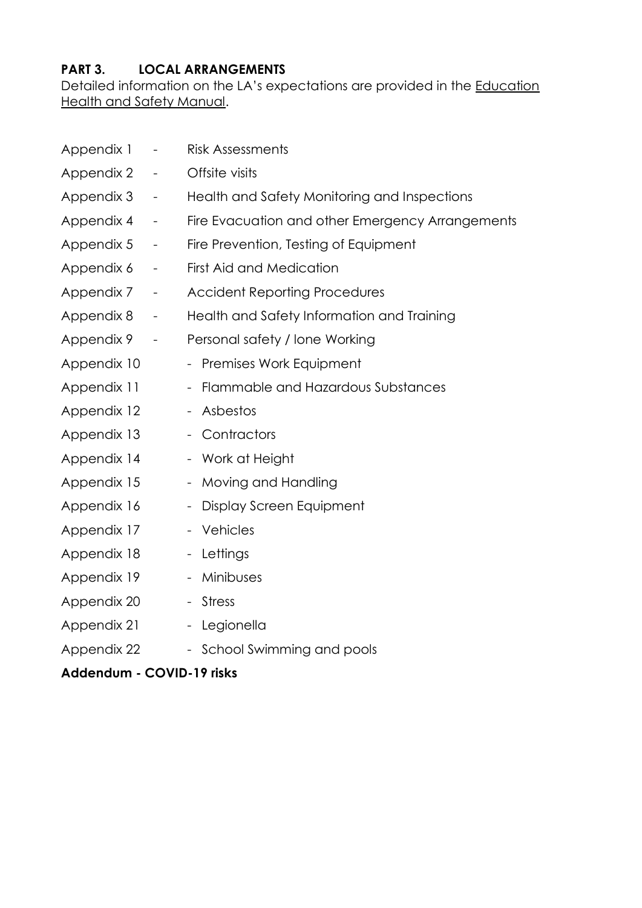# **PART 3. LOCAL ARRANGEMENTS**

Detailed information on the LA's expectations are provided in the [Education](http://www.thegrid.org.uk/info/healthandsafety/manual.shtml)  [Health and Safety Manual.](http://www.thegrid.org.uk/info/healthandsafety/manual.shtml)

| Appendix 1                | $\overline{\phantom{0}}$ | <b>Risk Assessments</b>                              |
|---------------------------|--------------------------|------------------------------------------------------|
| Appendix 2                | $\qquad \qquad -$        | Offsite visits                                       |
| Appendix 3                | $\overline{\phantom{a}}$ | Health and Safety Monitoring and Inspections         |
| Appendix 4                | $\overline{\phantom{a}}$ | Fire Evacuation and other Emergency Arrangements     |
| Appendix 5                | $\overline{\phantom{0}}$ | Fire Prevention, Testing of Equipment                |
| Appendix 6                | $\overline{\phantom{0}}$ | <b>First Aid and Medication</b>                      |
| Appendix 7                | $\overline{\phantom{a}}$ | <b>Accident Reporting Procedures</b>                 |
| Appendix 8                | $\overline{\phantom{a}}$ | Health and Safety Information and Training           |
| Appendix 9                | $\overline{\phantom{a}}$ | Personal safety / lone Working                       |
| Appendix 10               |                          | - Premises Work Equipment                            |
| Appendix 11               |                          | - Flammable and Hazardous Substances                 |
| Appendix 12               |                          | Asbestos                                             |
| Appendix 13               |                          | Contractors<br>$\overline{\phantom{0}}$              |
| Appendix 14               |                          | - Work at Height                                     |
| Appendix 15               |                          | Moving and Handling                                  |
| Appendix 16               |                          | Display Screen Equipment<br>$\overline{\phantom{a}}$ |
| Appendix 17               |                          | - Vehicles                                           |
| Appendix 18               |                          | - Lettings                                           |
| Appendix 19               |                          | Minibuses<br>-                                       |
| Appendix 20               |                          | <b>Stress</b><br>$\overline{\phantom{0}}$            |
| Appendix 21               |                          | - Legionella                                         |
| Appendix 22               |                          | - School Swimming and pools                          |
| Addendum - COVID-19 risks |                          |                                                      |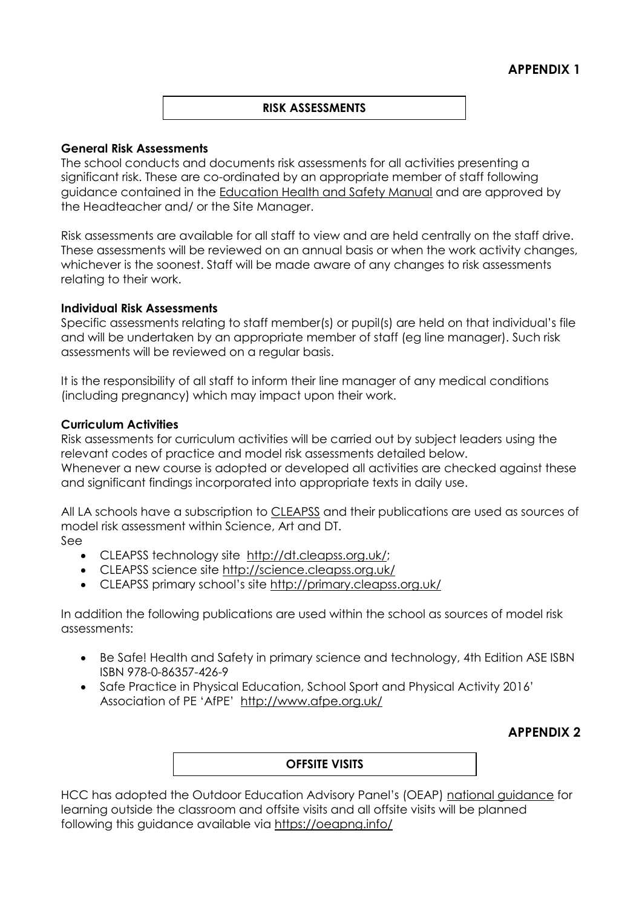#### **RISK ASSESSMENTS**

#### **General Risk Assessments**

The school conducts and documents risk assessments for all activities presenting a significant risk. These are co-ordinated by an appropriate member of staff following guidance contained in the [Education Health and Safety Manual](http://www.thegrid.org.uk/info/healthandsafety/manual.shtml#r) and are approved by the Headteacher and/ or the Site Manager.

Risk assessments are available for all staff to view and are held centrally on the staff drive. These assessments will be reviewed on an annual basis or when the work activity changes, whichever is the soonest. Staff will be made aware of any changes to risk assessments relating to their work.

#### **Individual Risk Assessments**

Specific assessments relating to staff member(s) or pupil(s) are held on that individual's file and will be undertaken by an appropriate member of staff (eg line manager). Such risk assessments will be reviewed on a regular basis.

It is the responsibility of all staff to inform their line manager of any medical conditions (including pregnancy) which may impact upon their work.

#### **Curriculum Activities**

Risk assessments for curriculum activities will be carried out by subject leaders using the relevant codes of practice and model risk assessments detailed below. Whenever a new course is adopted or developed all activities are checked against these and significant findings incorporated into appropriate texts in daily use.

All LA schools have a subscription to [CLEAPSS](http://www.cleapss.org.uk/) and their publications are used as sources of model risk assessment within Science, Art and DT.

- See
	- CLEAPSS technology site [http://dt.cleapss.org.uk/;](http://dt.cleapss.org.uk/)
	- CLEAPSS science site<http://science.cleapss.org.uk/>
	- CLEAPSS primary school's site <http://primary.cleapss.org.uk/>

In addition the following publications are used within the school as sources of model risk assessments:

- Be Safe! Health and Safety in primary science and technology, 4th Edition ASE ISBN ISBN 978-0-86357-426-9
- Safe Practice in Physical Education, School Sport and Physical Activity 2016' Association of PE 'AfPE' <http://www.afpe.org.uk/>

# **APPENDIX 2**

#### **OFFSITE VISITS**

HCC has adopted the Outdoor Education Advisory Panel's (OEAP) [national guidance](https://oeapng.info/) for learning outside the classroom and offsite visits and all offsite visits will be planned following this guidance available via<https://oeapng.info/>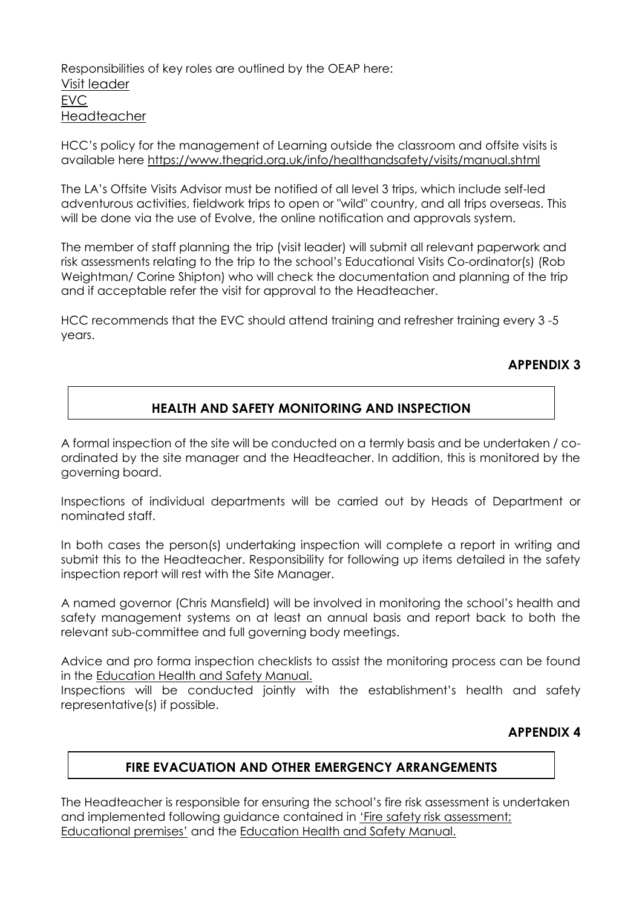Responsibilities of key roles are outlined by the OEAP here: [Visit leader](https://oeapng.info/downloads/download-info/3-4k-visit-or-activity-leader) [EVC](https://oeapng.info/downloads/download-info/3-4j-evc-responsibilities) [Headteacher](https://oeapng.info/downloads/download-info/3-4g-headteacher/)

HCC's policy for the management of Learning outside the classroom and offsite visits is available here<https://www.thegrid.org.uk/info/healthandsafety/visits/manual.shtml>

The LA's Offsite Visits Advisor must be notified of all level 3 trips, which include self-led adventurous activities, fieldwork trips to open or "wild" country, and all trips overseas. This will be done via the use of Evolve, the online notification and approvals system.

The member of staff planning the trip (visit leader) will submit all relevant paperwork and risk assessments relating to the trip to the school's Educational Visits Co-ordinator(s) (Rob Weightman/ Corine Shipton) who will check the documentation and planning of the trip and if acceptable refer the visit for approval to the Headteacher.

HCC recommends that the EVC should attend training and refresher training every 3 -5 years.

#### **APPENDIX 3**

#### **HEALTH AND SAFETY MONITORING AND INSPECTION**

A formal inspection of the site will be conducted on a termly basis and be undertaken / coordinated by the site manager and the Headteacher. In addition, this is monitored by the governing board.

Inspections of individual departments will be carried out by Heads of Department or nominated staff.

In both cases the person(s) undertaking inspection will complete a report in writing and submit this to the Headteacher. Responsibility for following up items detailed in the safety inspection report will rest with the Site Manager.

A named governor (Chris Mansfield) will be involved in monitoring the school's health and safety management systems on at least an annual basis and report back to both the relevant sub-committee and full governing body meetings.

Advice and pro forma inspection checklists to assist the monitoring process can be found in the [Education Health and Safety Manual.](http://www.thegrid.org.uk/info/healthandsafety/manual.shtml#A)

Inspections will be conducted jointly with the establishment's health and safety representative(s) if possible.

# **APPENDIX 4**

#### **FIRE EVACUATION AND OTHER EMERGENCY ARRANGEMENTS**

The Headteacher is responsible for ensuring the school's fire risk assessment is undertaken and implemented following guidance contained in 'Fire sa[fety risk assessment;](https://www.gov.uk/government/publications/fire-safety-risk-assessment-educational-premises)  [Educational premises'](https://www.gov.uk/government/publications/fire-safety-risk-assessment-educational-premises) and the [Education Health and Safety Manual.](http://www.thegrid.org.uk/info/healthandsafety/fire_safety.shtml)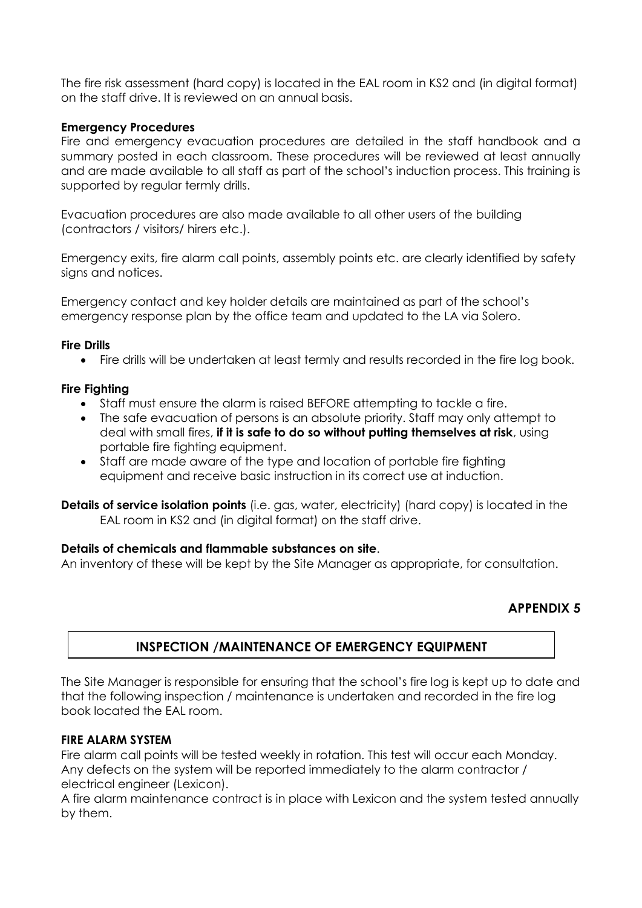The fire risk assessment (hard copy) is located in the EAL room in KS2 and (in digital format) on the staff drive. It is reviewed on an annual basis.

#### **Emergency Procedures**

Fire and emergency evacuation procedures are detailed in the staff handbook and a summary posted in each classroom. These procedures will be reviewed at least annually and are made available to all staff as part of the school's induction process. This training is supported by regular termly drills.

Evacuation procedures are also made available to all other users of the building (contractors / visitors/ hirers etc.).

Emergency exits, fire alarm call points, assembly points etc. are clearly identified by safety signs and notices.

Emergency contact and key holder details are maintained as part of the school's emergency response plan by the office team and updated to the LA via Solero.

#### **Fire Drills**

Fire drills will be undertaken at least termly and results recorded in the fire log book.

#### **Fire Fighting**

- Staff must ensure the alarm is raised BEFORE attempting to tackle a fire.
- The safe evacuation of persons is an absolute priority. Staff may only attempt to deal with small fires, **if it is safe to do so without putting themselves at risk**, using portable fire fighting equipment.
- Staff are made aware of the type and location of portable fire fighting equipment and receive basic instruction in its correct use at induction.

**Details of service isolation points** (i.e. gas, water, electricity) (hard copy) is located in the EAL room in KS2 and (in digital format) on the staff drive.

#### **Details of chemicals and flammable substances on site**.

An inventory of these will be kept by the Site Manager as appropriate, for consultation.

#### **APPENDIX 5**

# **INSPECTION /MAINTENANCE OF EMERGENCY EQUIPMENT**

The Site Manager is responsible for ensuring that the school's fire log is kept up to date and that the following inspection / maintenance is undertaken and recorded in the fire log book located the EAL room.

#### **FIRE ALARM SYSTEM**

Fire alarm call points will be tested weekly in rotation. This test will occur each Monday. Any defects on the system will be reported immediately to the alarm contractor / electrical engineer (Lexicon).

A fire alarm maintenance contract is in place with Lexicon and the system tested annually by them.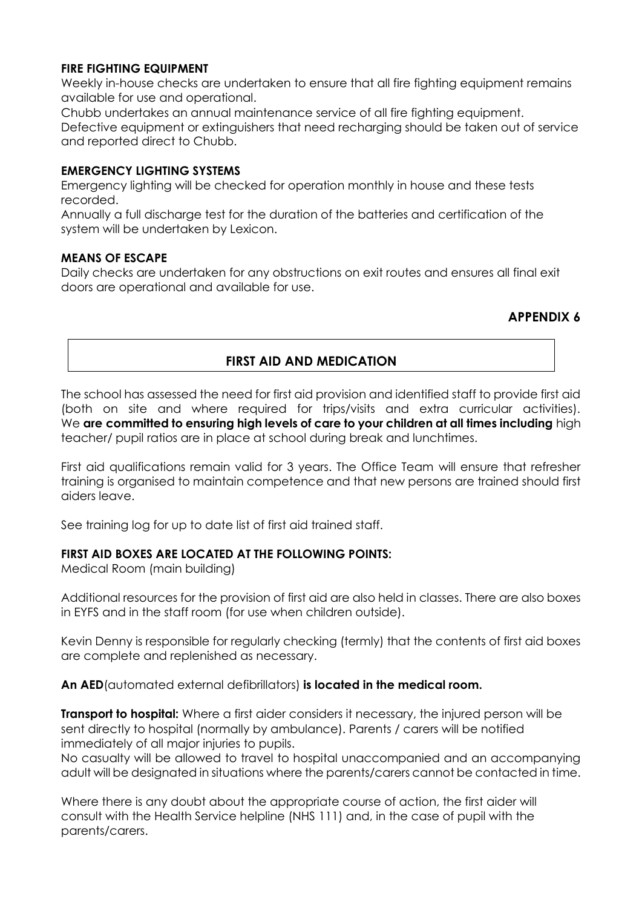#### **FIRE FIGHTING EQUIPMENT**

Weekly in-house checks are undertaken to ensure that all fire fighting equipment remains available for use and operational.

Chubb undertakes an annual maintenance service of all fire fighting equipment. Defective equipment or extinguishers that need recharging should be taken out of service and reported direct to Chubb.

#### **EMERGENCY LIGHTING SYSTEMS**

Emergency lighting will be checked for operation monthly in house and these tests recorded.

Annually a full discharge test for the duration of the batteries and certification of the system will be undertaken by Lexicon.

#### **MEANS OF ESCAPE**

Daily checks are undertaken for any obstructions on exit routes and ensures all final exit doors are operational and available for use.

# **APPENDIX 6**

# **FIRST AID AND MEDICATION**

The school has assessed the need for first aid provision and identified staff to provide first aid (both on site and where required for trips/visits and extra curricular activities). We **are committed to ensuring high levels of care to your children at all times including** high teacher/ pupil ratios are in place at school during break and lunchtimes.

First aid qualifications remain valid for 3 years. The Office Team will ensure that refresher training is organised to maintain competence and that new persons are trained should first aiders leave.

See training log for up to date list of first aid trained staff.

#### **FIRST AID BOXES ARE LOCATED AT THE FOLLOWING POINTS:**

Medical Room (main building)

Additional resources for the provision of first aid are also held in classes. There are also boxes in EYFS and in the staff room (for use when children outside).

Kevin Denny is responsible for regularly checking (termly) that the contents of first aid boxes are complete and replenished as necessary.

**An AED**(automated external defibrillators) **is located in the medical room.** 

**Transport to hospital:** Where a first aider considers it necessary, the injured person will be sent directly to hospital (normally by ambulance). Parents / carers will be notified immediately of all major injuries to pupils.

No casualty will be allowed to travel to hospital unaccompanied and an accompanying adult will be designated in situations where the parents/carers cannot be contacted in time.

Where there is any doubt about the appropriate course of action, the first aider will consult with the Health Service helpline (NHS 111) and, in the case of pupil with the parents/carers.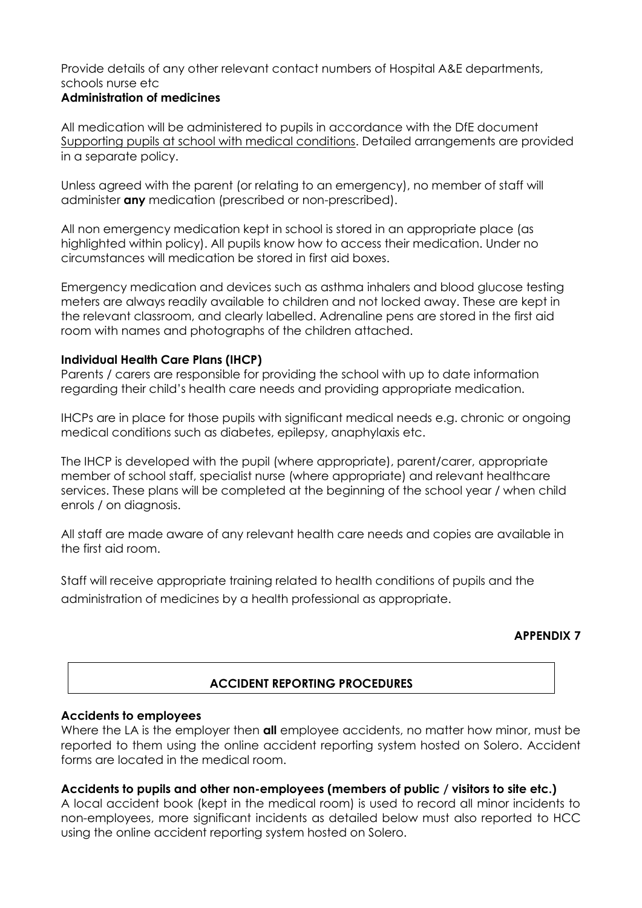# Provide details of any other relevant contact numbers of Hospital A&E departments, schools nurse etc

#### **Administration of medicines**

All medication will be administered to pupils in accordance with the DfE document [Supporting pupils at school with medical conditions.](https://www.gov.uk/government/publications/supporting-pupils-at-school-with-medical-conditions--3) Detailed arrangements are provided in a separate policy.

Unless agreed with the parent (or relating to an emergency), no member of staff will administer **any** medication (prescribed or non-prescribed).

All non emergency medication kept in school is stored in an appropriate place (as highlighted within policy). All pupils know how to access their medication. Under no circumstances will medication be stored in first aid boxes.

Emergency medication and devices such as asthma inhalers and blood glucose testing meters are always readily available to children and not locked away. These are kept in the relevant classroom, and clearly labelled. Adrenaline pens are stored in the first aid room with names and photographs of the children attached.

#### **Individual Health Care Plans (IHCP)**

Parents / carers are responsible for providing the school with up to date information regarding their child's health care needs and providing appropriate medication.

IHCPs are in place for those pupils with significant medical needs e.g. chronic or ongoing medical conditions such as diabetes, epilepsy, anaphylaxis etc.

The IHCP is developed with the pupil (where appropriate), parent/carer, appropriate member of school staff, specialist nurse (where appropriate) and relevant healthcare services. These plans will be completed at the beginning of the school year / when child enrols / on diagnosis.

All staff are made aware of any relevant health care needs and copies are available in the first aid room.

Staff will receive appropriate training related to health conditions of pupils and the administration of medicines by a health professional as appropriate.

#### **APPENDIX 7**

# **ACCIDENT REPORTING PROCEDURES**

#### **Accidents to employees**

Where the LA is the employer then **all** employee accidents, no matter how minor, must be reported to them using the online accident reporting system hosted on Solero. Accident forms are located in the medical room.

#### **Accidents to pupils and other non-employees (members of public / visitors to site etc.)**

A local accident book (kept in the medical room) is used to record all minor incidents to non-employees, more significant incidents as detailed below must also reported to HCC using the online accident reporting system hosted on Solero.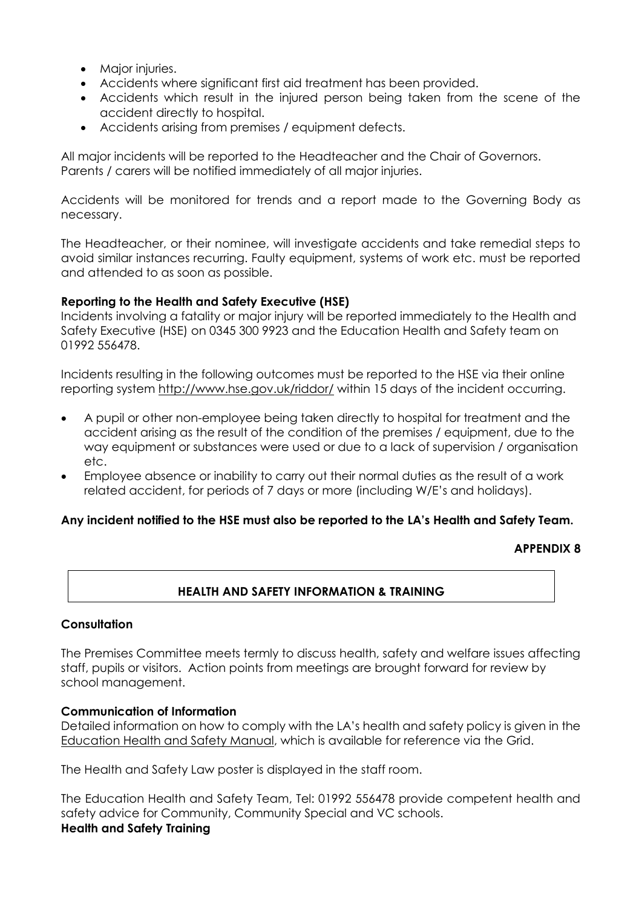- Major injuries.
- Accidents where significant first aid treatment has been provided.
- Accidents which result in the injured person being taken from the scene of the accident directly to hospital.
- Accidents arising from premises / equipment defects.

All major incidents will be reported to the Headteacher and the Chair of Governors. Parents / carers will be notified immediately of all major injuries.

Accidents will be monitored for trends and a report made to the Governing Body as necessary.

The Headteacher, or their nominee, will investigate accidents and take remedial steps to avoid similar instances recurring. Faulty equipment, systems of work etc. must be reported and attended to as soon as possible.

#### **Reporting to the Health and Safety Executive (HSE)**

Incidents involving a fatality or major injury will be reported immediately to the Health and Safety Executive (HSE) on 0345 300 9923 and the Education Health and Safety team on 01992 556478.

Incidents resulting in the following outcomes must be reported to the HSE via their online reporting system<http://www.hse.gov.uk/riddor/> within 15 days of the incident occurring.

- A pupil or other non-employee being taken directly to hospital for treatment and the accident arising as the result of the condition of the premises / equipment, due to the way equipment or substances were used or due to a lack of supervision / organisation etc.
- Employee absence or inability to carry out their normal duties as the result of a work related accident, for periods of 7 days or more (including W/E's and holidays).

#### **Any incident notified to the HSE must also be reported to the LA's Health and Safety Team.**

#### **APPENDIX 8**

#### **HEALTH AND SAFETY INFORMATION & TRAINING**

#### **Consultation**

The Premises Committee meets termly to discuss health, safety and welfare issues affecting staff, pupils or visitors. Action points from meetings are brought forward for review by school management.

#### **Communication of Information**

Detailed information on how to comply with the LA's health and safety policy is given in the [Education Health and Safety Manual,](http://www.thegrid.org.uk/info/healthandsafety/manual.shtml#p) which is available for reference via the Grid.

The Health and Safety Law poster is displayed in the staff room.

The Education Health and Safety Team, Tel: 01992 556478 provide competent health and safety advice for Community, Community Special and VC schools. **Health and Safety Training**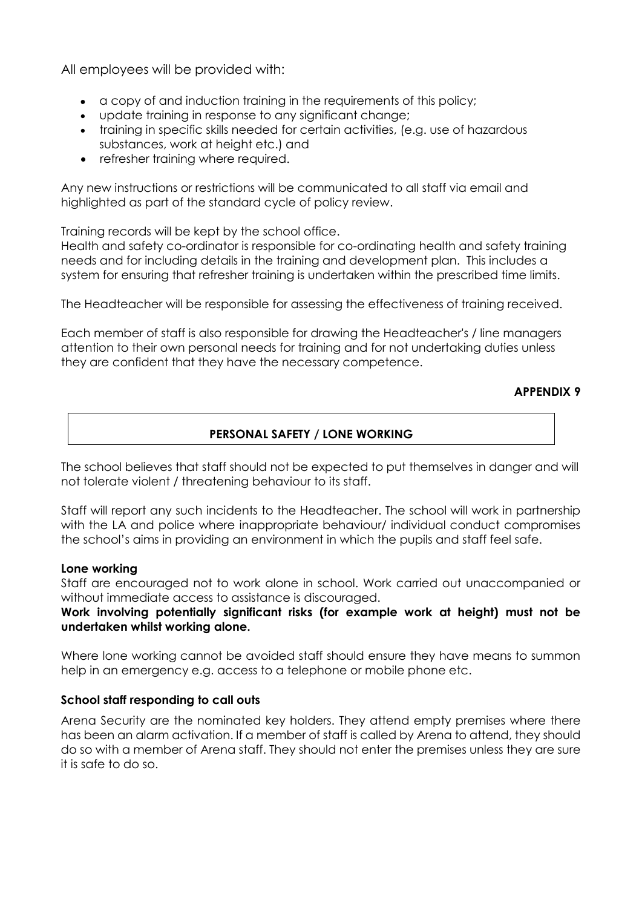All employees will be provided with:

- a copy of and induction training in the requirements of this policy;
- update training in response to any significant change;
- training in specific skills needed for certain activities, (e.g. use of hazardous substances, work at height etc.) and
- refresher training where required.

Any new instructions or restrictions will be communicated to all staff via email and highlighted as part of the standard cycle of policy review.

Training records will be kept by the school office.

Health and safety co-ordinator is responsible for co-ordinating health and safety training needs and for including details in the training and development plan. This includes a system for ensuring that refresher training is undertaken within the prescribed time limits.

The Headteacher will be responsible for assessing the effectiveness of training received.

Each member of staff is also responsible for drawing the Headteacher's / line managers attention to their own personal needs for training and for not undertaking duties unless they are confident that they have the necessary competence.

#### **APPENDIX 9**

# **PERSONAL SAFETY / LONE WORKING**

The school believes that staff should not be expected to put themselves in danger and will not tolerate violent / threatening behaviour to its staff.

Staff will report any such incidents to the Headteacher. The school will work in partnership with the LA and police where inappropriate behaviour/ individual conduct compromises the school's aims in providing an environment in which the pupils and staff feel safe.

#### **Lone working**

Staff are encouraged not to work alone in school. Work carried out unaccompanied or without immediate access to assistance is discouraged.

#### **Work involving potentially significant risks (for example work at height) must not be undertaken whilst working alone.**

Where lone working cannot be avoided staff should ensure they have means to summon help in an emergency e.g. access to a telephone or mobile phone etc.

#### **School staff responding to call outs**

Arena Security are the nominated key holders. They attend empty premises where there has been an alarm activation. If a member of staff is called by Arena to attend, they should do so with a member of Arena staff. They should not enter the premises unless they are sure it is safe to do so.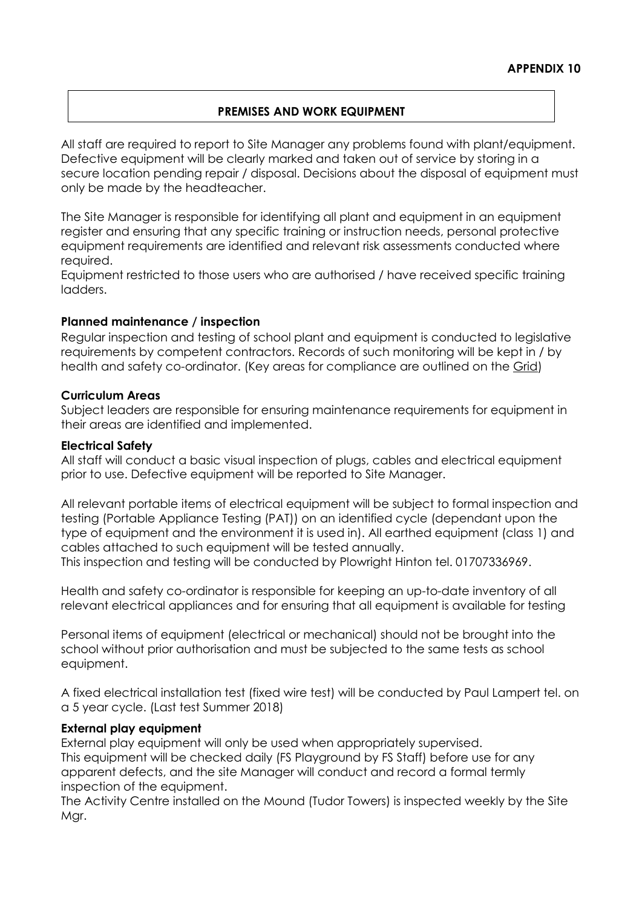#### **PREMISES AND WORK EQUIPMENT**

All staff are required to report to Site Manager any problems found with plant/equipment. Defective equipment will be clearly marked and taken out of service by storing in a secure location pending repair / disposal. Decisions about the disposal of equipment must only be made by the headteacher.

The Site Manager is responsible for identifying all plant and equipment in an equipment register and ensuring that any specific training or instruction needs, personal protective equipment requirements are identified and relevant risk assessments conducted where required.

Equipment restricted to those users who are authorised / have received specific training ladders.

#### **Planned maintenance / inspection**

Regular inspection and testing of school plant and equipment is conducted to legislative requirements by competent contractors. Records of such monitoring will be kept in / by health and safety co-ordinator. (Key areas for compliance are outlined on the [Grid\)](http://www.thegrid.org.uk/info/healthandsafety/manual.shtml#m)

#### **Curriculum Areas**

Subject leaders are responsible for ensuring maintenance requirements for equipment in their areas are identified and implemented.

#### **Electrical Safety**

All staff will conduct a basic visual inspection of plugs, cables and electrical equipment prior to use. Defective equipment will be reported to Site Manager.

All relevant portable items of electrical equipment will be subject to formal inspection and testing (Portable Appliance Testing (PAT)) on an identified cycle (dependant upon the type of equipment and the environment it is used in). All earthed equipment (class 1) and cables attached to such equipment will be tested annually.

This inspection and testing will be conducted by Plowright Hinton tel. 01707336969.

Health and safety co-ordinator is responsible for keeping an up-to-date inventory of all relevant electrical appliances and for ensuring that all equipment is available for testing

Personal items of equipment (electrical or mechanical) should not be brought into the school without prior authorisation and must be subjected to the same tests as school equipment.

A fixed electrical installation test (fixed wire test) will be conducted by Paul Lampert tel. on a 5 year cycle. (Last test Summer 2018)

#### **External play equipment**

External play equipment will only be used when appropriately supervised. This equipment will be checked daily (FS Playground by FS Staff) before use for any apparent defects, and the site Manager will conduct and record a formal termly inspection of the equipment.

The Activity Centre installed on the Mound (Tudor Towers) is inspected weekly by the Site Mgr.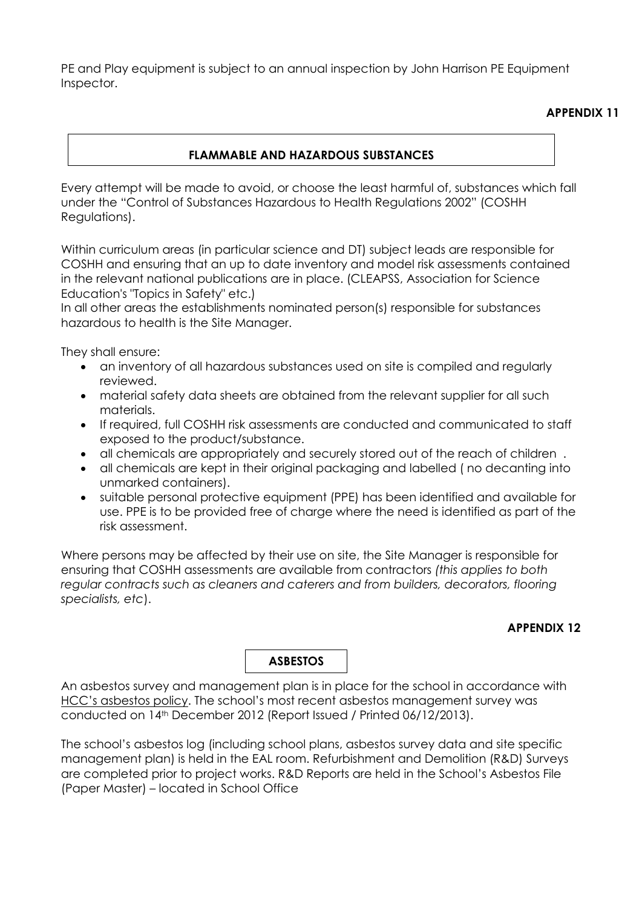PE and Play equipment is subject to an annual inspection by John Harrison PE Equipment Inspector.

# **APPENDIX 11**

### **FLAMMABLE AND HAZARDOUS SUBSTANCES**

Every attempt will be made to avoid, or choose the least harmful of, substances which fall under the "Control of Substances Hazardous to Health Regulations 2002" (COSHH Regulations).

Within curriculum areas (in particular science and DT) subject leads are responsible for COSHH and ensuring that an up to date inventory and model risk assessments contained in the relevant national publications are in place. (CLEAPSS, Association for Science Education's "Topics in Safety" etc.)

In all other areas the establishments nominated person(s) responsible for substances hazardous to health is the Site Manager.

They shall ensure:

- an inventory of all hazardous substances used on site is compiled and regularly reviewed.
- material safety data sheets are obtained from the relevant supplier for all such materials.
- If required, full COSHH risk assessments are conducted and communicated to staff exposed to the product/substance.
- all chemicals are appropriately and securely stored out of the reach of children .
- all chemicals are kept in their original packaging and labelled ( no decanting into unmarked containers).
- suitable personal protective equipment (PPE) has been identified and available for use. PPE is to be provided free of charge where the need is identified as part of the risk assessment.

Where persons may be affected by their use on site, the Site Manager is responsible for ensuring that COSHH assessments are available from contractors *(this applies to both regular contracts such as cleaners and caterers and from builders, decorators, flooring specialists, etc*).

# **APPENDIX 12**

**ASBESTOS**

An asbestos survey and management plan is in place for the school in accordance with [HCC's asbestos policy.](http://www.thegrid.org.uk/info/healthandsafety/manual.shtml#A) The school's most recent asbestos management survey was conducted on 14th December 2012 (Report Issued / Printed 06/12/2013).

The school's asbestos log (including school plans, asbestos survey data and site specific management plan) is held in the EAL room. Refurbishment and Demolition (R&D) Surveys are completed prior to project works. R&D Reports are held in the School's Asbestos File (Paper Master) – located in School Office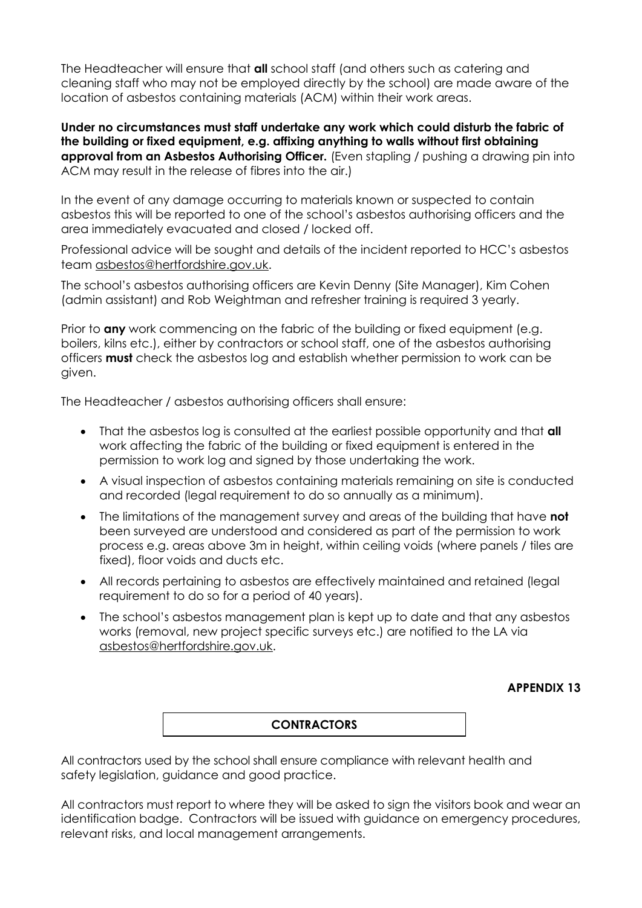The Headteacher will ensure that **all** school staff (and others such as catering and cleaning staff who may not be employed directly by the school) are made aware of the location of asbestos containing materials (ACM) within their work areas.

**Under no circumstances must staff undertake any work which could disturb the fabric of the building or fixed equipment, e.g. affixing anything to walls without first obtaining approval from an Asbestos Authorising Officer.** (Even stapling / pushing a drawing pin into ACM may result in the release of fibres into the air.)

In the event of any damage occurring to materials known or suspected to contain asbestos this will be reported to one of the school's asbestos authorising officers and the area immediately evacuated and closed / locked off.

Professional advice will be sought and details of the incident reported to HCC's asbestos team [asbestos@hertfordshire.gov.uk.](mailto:asbestos@hertfordshire.gov.uk)

The school's asbestos authorising officers are Kevin Denny (Site Manager), Kim Cohen (admin assistant) and Rob Weightman and refresher training is required 3 yearly.

Prior to **any** work commencing on the fabric of the building or fixed equipment (e.g. boilers, kilns etc.), either by contractors or school staff, one of the asbestos authorising officers **must** check the asbestos log and establish whether permission to work can be given.

The Headteacher / asbestos authorising officers shall ensure:

- That the asbestos log is consulted at the earliest possible opportunity and that **all** work affecting the fabric of the building or fixed equipment is entered in the permission to work log and signed by those undertaking the work.
- A visual inspection of asbestos containing materials remaining on site is conducted and recorded (legal requirement to do so annually as a minimum).
- The limitations of the management survey and areas of the building that have **not** been surveyed are understood and considered as part of the permission to work process e.g. areas above 3m in height, within ceiling voids (where panels / tiles are fixed), floor voids and ducts etc.
- All records pertaining to asbestos are effectively maintained and retained (legal requirement to do so for a period of 40 years).
- The school's asbestos management plan is kept up to date and that any asbestos works (removal, new project specific surveys etc.) are notified to the LA via [asbestos@hertfordshire.gov.uk.](mailto:asbestos@hertfordshire.gov.uk)

**APPENDIX 13**

#### **CONTRACTORS**

All contractors used by the school shall ensure compliance with relevant health and safety legislation, guidance and good practice.

All contractors must report to where they will be asked to sign the visitors book and wear an identification badge. Contractors will be issued with guidance on emergency procedures, relevant risks, and local management arrangements.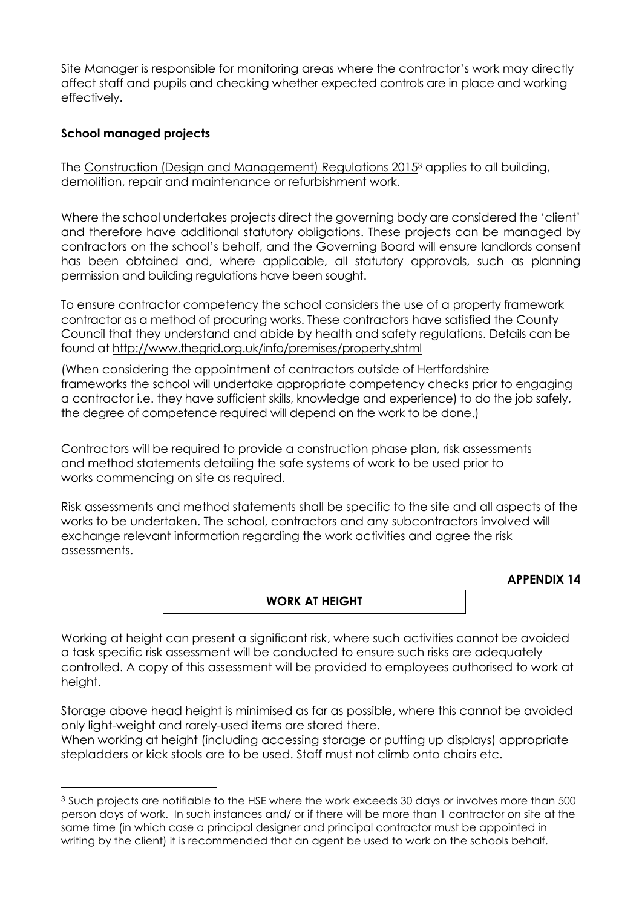Site Manager is responsible for monitoring areas where the contractor's work may directly affect staff and pupils and checking whether expected controls are in place and working effectively.

#### **School managed projects**

 $\overline{a}$ 

The [Construction \(Design and Management\) Regulations 2015](http://www.hse.gov.uk/construction/cdm/2015/index.htm?ebul=gd-cons/jun15&cr=1)<sup>3</sup> applies to all building, demolition, repair and maintenance or refurbishment work.

Where the school undertakes projects direct the governing body are considered the 'client' and therefore have additional statutory obligations. These projects can be managed by contractors on the school's behalf, and the Governing Board will ensure landlords consent has been obtained and, where applicable, all statutory approvals, such as planning permission and building regulations have been sought.

To ensure contractor competency the school considers the use of a property framework contractor as a method of procuring works. These contractors have satisfied the County Council that they understand and abide by health and safety regulations. Details can be found at<http://www.thegrid.org.uk/info/premises/property.shtml>

(When considering the appointment of contractors outside of Hertfordshire frameworks the school will undertake appropriate competency checks prior to engaging a contractor i.e. they have sufficient skills, knowledge and experience) to do the job safely, the degree of competence required will depend on the work to be done.)

Contractors will be required to provide a construction phase plan, risk assessments and method statements detailing the safe systems of work to be used prior to works commencing on site as required.

Risk assessments and method statements shall be specific to the site and all aspects of the works to be undertaken. The school, contractors and any subcontractors involved will exchange relevant information regarding the work activities and agree the risk assessments.

#### **APPENDIX 14**

#### **WORK AT HEIGHT**

Working at height can present a significant risk, where such activities cannot be avoided a task specific risk assessment will be conducted to ensure such risks are adequately controlled. A copy of this assessment will be provided to employees authorised to work at height.

Storage above head height is minimised as far as possible, where this cannot be avoided only light-weight and rarely-used items are stored there.

When working at height (including accessing storage or putting up displays) appropriate stepladders or kick stools are to be used. Staff must not climb onto chairs etc.

<sup>&</sup>lt;sup>3</sup> Such projects are notifiable to the HSE where the work exceeds 30 days or involves more than 500 person days of work. In such instances and/ or if there will be more than 1 contractor on site at the same time (in which case a principal designer and principal contractor must be appointed in writing by the client) it is recommended that an agent be used to work on the schools behalf.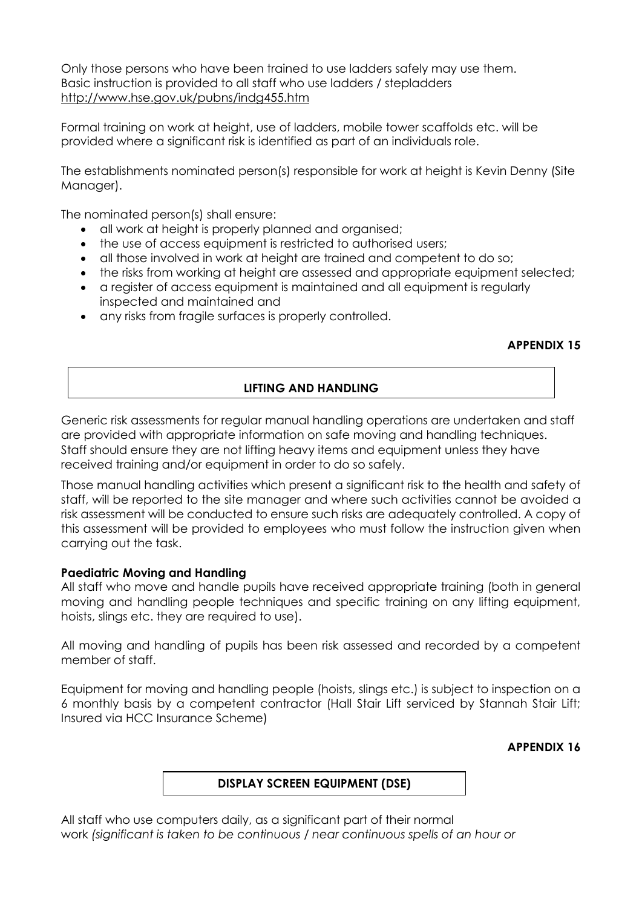Only those persons who have been trained to use ladders safely may use them. Basic instruction is provided to all staff who use ladders / stepladders <http://www.hse.gov.uk/pubns/indg455.htm>

Formal training on work at height, use of ladders, mobile tower scaffolds etc. will be provided where a significant risk is identified as part of an individuals role.

The establishments nominated person(s) responsible for work at height is Kevin Denny (Site Manager).

The nominated person(s) shall ensure:

- all work at height is properly planned and organised;
- the use of access equipment is restricted to authorised users;
- all those involved in work at height are trained and competent to do so;
- the risks from working at height are assessed and appropriate equipment selected;
- a register of access equipment is maintained and all equipment is regularly inspected and maintained and
- any risks from fragile surfaces is properly controlled.

#### **APPENDIX 15**

#### **LIFTING AND HANDLING**

Generic risk assessments for regular manual handling operations are undertaken and staff are provided with appropriate information on safe moving and handling techniques. Staff should ensure they are not lifting heavy items and equipment unless they have received training and/or equipment in order to do so safely.

Those manual handling activities which present a significant risk to the health and safety of staff, will be reported to the site manager and where such activities cannot be avoided a risk assessment will be conducted to ensure such risks are adequately controlled. A copy of this assessment will be provided to employees who must follow the instruction given when carrying out the task.

#### **Paediatric Moving and Handling**

All staff who move and handle pupils have received appropriate training (both in general moving and handling people techniques and specific training on any lifting equipment, hoists, slings etc. they are required to use).

All moving and handling of pupils has been risk assessed and recorded by a competent member of staff.

Equipment for moving and handling people (hoists, slings etc.) is subject to inspection on a 6 monthly basis by a competent contractor (Hall Stair Lift serviced by Stannah Stair Lift; Insured via HCC Insurance Scheme)

#### **APPENDIX 16**

#### **DISPLAY SCREEN EQUIPMENT (DSE)**

All staff who use computers daily, as a significant part of their normal work *(significant is taken to be continuous / near continuous spells of an hour or*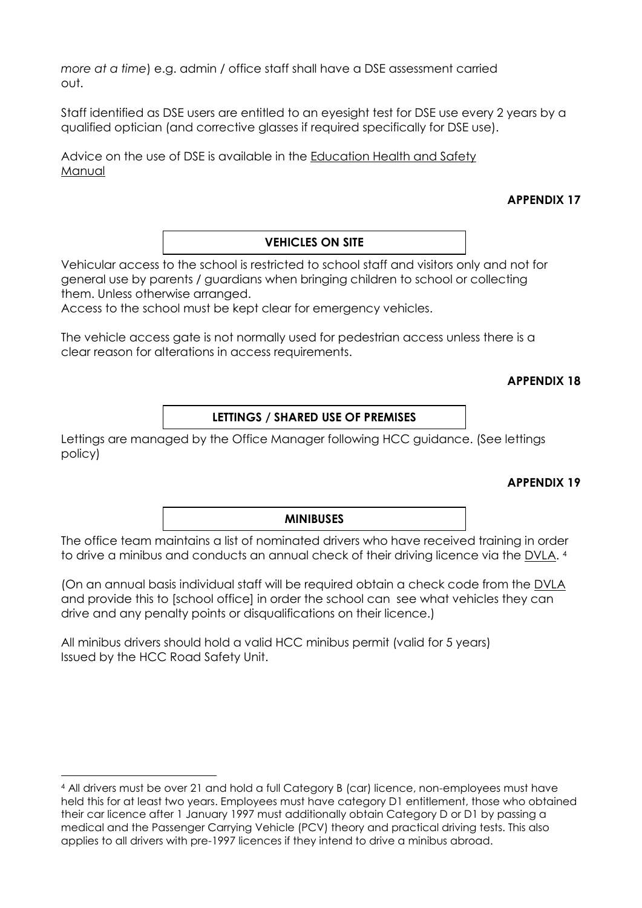*more at a time*) e.g. admin / office staff shall have a DSE assessment carried out.

Staff identified as DSE users are entitled to an eyesight test for DSE use every 2 years by a qualified optician (and corrective glasses if required specifically for DSE use).

Advice on the use of DSE is available in the [Education Health and Safety](http://www.thegrid.org.uk/info/healthandsafety/documents_manual/display_screen_equipment.doc) [Manual](http://www.thegrid.org.uk/info/healthandsafety/documents_manual/display_screen_equipment.doc) 

### **APPENDIX 17**

#### **VEHICLES ON SITE**

Vehicular access to the school is restricted to school staff and visitors only and not for general use by parents / guardians when bringing children to school or collecting them. Unless otherwise arranged.

Access to the school must be kept clear for emergency vehicles.

The vehicle access gate is not normally used for pedestrian access unless there is a clear reason for alterations in access requirements.

#### **APPENDIX 18**

#### **LETTINGS / SHARED USE OF PREMISES**

Lettings are managed by the Office Manager following HCC guidance. (See lettings policy)

#### **APPENDIX 19**

#### **MINIBUSES**

The office team maintains a list of nominated drivers who have received training in order to drive a minibus and conducts an annual check of their driving licence via the [DVLA.](https://www.gov.uk/check-driving-information) 4

(On an annual basis individual staff will be required obtain a check code from the [DVLA](https://www.gov.uk/view-driving-licence#before-you-start)  and provide this to [school office] in order the school can see what vehicles they can drive and any penalty points or disqualifications on their licence.)

All minibus drivers should hold a valid HCC minibus permit (valid for 5 years) Issued by the HCC Road Safety Unit.

-

<sup>4</sup> All drivers must be over 21 and hold a full Category B (car) licence, non-employees must have held this for at least two years. Employees must have category D1 entitlement, those who obtained their car licence after 1 January 1997 must additionally obtain Category D or D1 by passing a medical and the Passenger Carrying Vehicle (PCV) theory and practical driving tests. This also applies to all drivers with pre-1997 licences if they intend to drive a minibus abroad.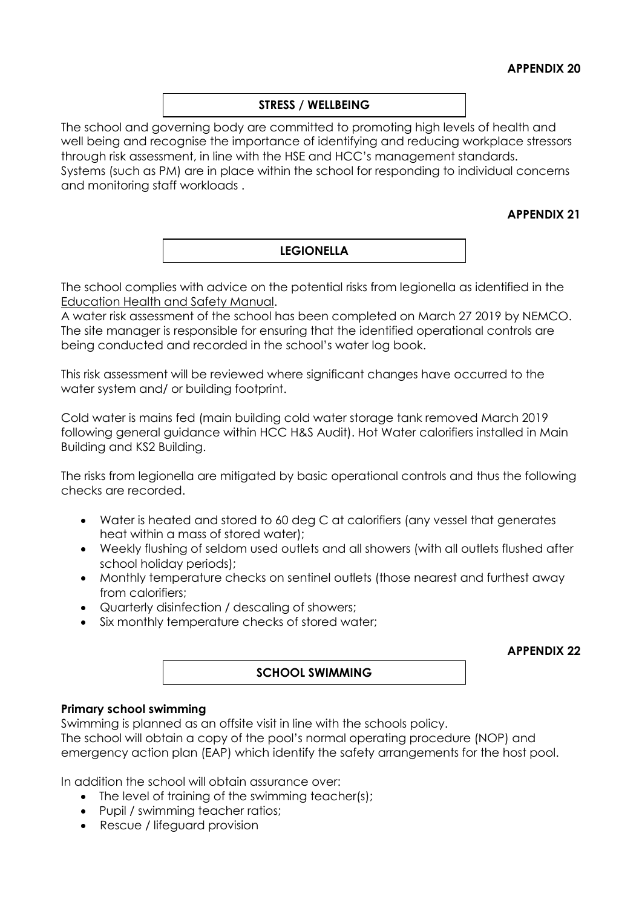#### **STRESS / WELLBEING**

The school and governing body are committed to promoting high levels of health and well being and recognise the importance of identifying and reducing workplace stressors through risk assessment, in line with the HSE and HCC's management standards. Systems (such as PM) are in place within the school for responding to individual concerns and monitoring staff workloads .

#### **APPENDIX 21**

#### **LEGIONELLA**

The school complies with advice on the potential risks from legionella as identified in the [Education Health and Safety](http://www.thegrid.org.uk/info/healthandsafety/manual.shtml#l) Manual.

A water risk assessment of the school has been completed on March 27 2019 by NEMCO. The site manager is responsible for ensuring that the identified operational controls are being conducted and recorded in the school's water log book.

This risk assessment will be reviewed where significant changes have occurred to the water system and/ or building footprint.

Cold water is mains fed (main building cold water storage tank removed March 2019 following general guidance within HCC H&S Audit). Hot Water calorifiers installed in Main Building and KS2 Building.

The risks from legionella are mitigated by basic operational controls and thus the following checks are recorded.

- Water is heated and stored to 60 deg C at calorifiers (any vessel that generates heat within a mass of stored water);
- Weekly flushing of seldom used outlets and all showers (with all outlets flushed after school holiday periods);
- Monthly temperature checks on sentinel outlets (those nearest and furthest away from calorifiers;
- Quarterly disinfection / descaling of showers;
- Six monthly temperature checks of stored water;

**APPENDIX 22**

#### **SCHOOL SWIMMING**

#### **Primary school swimming**

Swimming is planned as an offsite visit in line with the schools policy.

The school will obtain a copy of the pool's normal operating procedure (NOP) and emergency action plan (EAP) which identify the safety arrangements for the host pool.

In addition the school will obtain assurance over:

- The level of training of the swimming teacher(s);
- Pupil / swimming teacher ratios;
- Rescue / lifeguard provision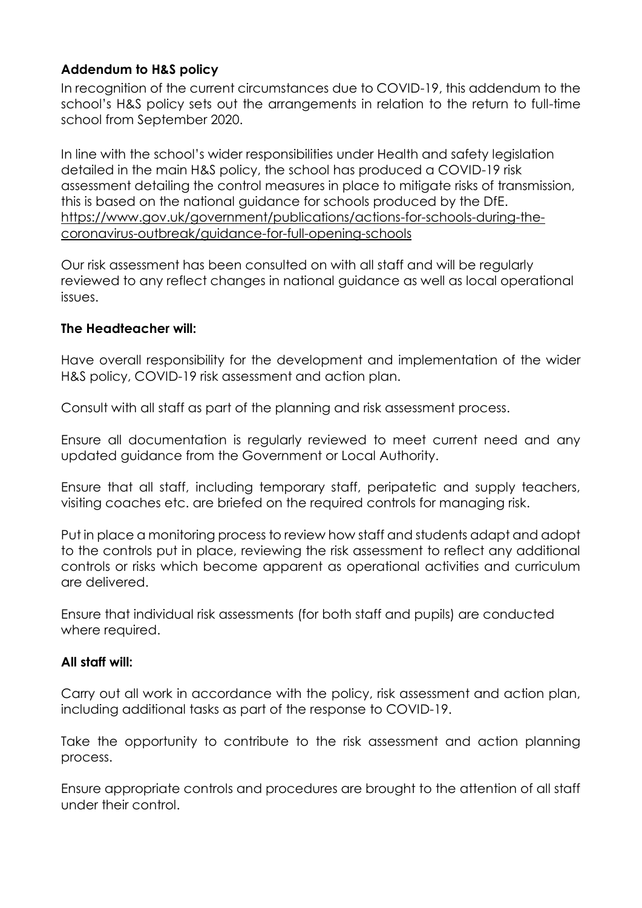# **Addendum to H&S policy**

In recognition of the current circumstances due to COVID-19, this addendum to the school's H&S policy sets out the arrangements in relation to the return to full-time school from September 2020.

In line with the school's wider responsibilities under Health and safety legislation detailed in the main H&S policy, the school has produced a COVID-19 risk assessment detailing the control measures in place to mitigate risks of transmission, this is based on the national guidance for schools produced by the DfE. [https://www.gov.uk/government/publications/actions-for-schools-during-the](https://www.gov.uk/government/publications/actions-for-schools-during-the-coronavirus-outbreak/guidance-for-full-opening-schools)[coronavirus-outbreak/guidance-for-full-opening-schools](https://www.gov.uk/government/publications/actions-for-schools-during-the-coronavirus-outbreak/guidance-for-full-opening-schools)

Our risk assessment has been consulted on with all staff and will be regularly reviewed to any reflect changes in national guidance as well as local operational issues.

# **The Headteacher will:**

Have overall responsibility for the development and implementation of the wider H&S policy, COVID-19 risk assessment and action plan.

Consult with all staff as part of the planning and risk assessment process.

Ensure all documentation is regularly reviewed to meet current need and any updated guidance from the Government or Local Authority.

Ensure that all staff, including temporary staff, peripatetic and supply teachers, visiting coaches etc. are briefed on the required controls for managing risk.

Put in place a monitoring process to review how staff and students adapt and adopt to the controls put in place, reviewing the risk assessment to reflect any additional controls or risks which become apparent as operational activities and curriculum are delivered.

Ensure that individual risk assessments (for both staff and pupils) are conducted where required.

# **All staff will:**

Carry out all work in accordance with the policy, risk assessment and action plan, including additional tasks as part of the response to COVID-19.

Take the opportunity to contribute to the risk assessment and action planning process.

Ensure appropriate controls and procedures are brought to the attention of all staff under their control.